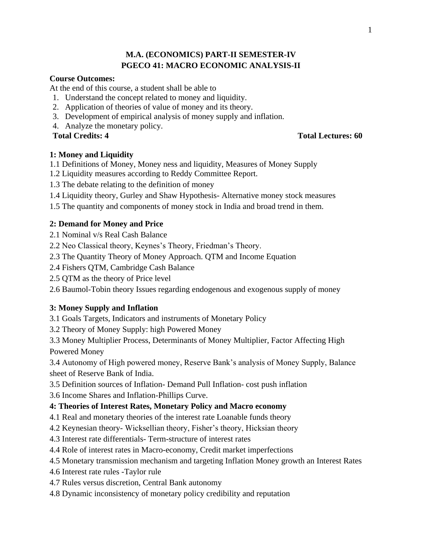# **M.A. (ECONOMICS) PART-II SEMESTER-IV PGECO 41: MACRO ECONOMIC ANALYSIS-II**

# **Course Outcomes:**

At the end of this course, a student shall be able to

- 1. Understand the concept related to money and liquidity.
- 2. Application of theories of value of money and its theory.
- 3. Development of empirical analysis of money supply and inflation.
- 4. Analyze the monetary policy.
- 

# **Total Credits: 4 Total Lectures: 60**

# **1: Money and Liquidity**

- 1.1 Definitions of Money, Money ness and liquidity, Measures of Money Supply
- 1.2 Liquidity measures according to Reddy Committee Report.
- 1.3 The debate relating to the definition of money
- 1.4 Liquidity theory, Gurley and Shaw Hypothesis- Alternative money stock measures
- 1.5 The quantity and components of money stock in India and broad trend in them.

# **2: Demand for Money and Price**

- 2.1 Nominal v/s Real Cash Balance
- 2.2 Neo Classical theory, Keynes's Theory, Friedman's Theory.
- 2.3 The Quantity Theory of Money Approach. QTM and Income Equation
- 2.4 Fishers QTM, Cambridge Cash Balance
- 2.5 QTM as the theory of Price level
- 2.6 Baumol-Tobin theory Issues regarding endogenous and exogenous supply of money

# **3: Money Supply and Inflation**

- 3.1 Goals Targets, Indicators and instruments of Monetary Policy
- 3.2 Theory of Money Supply: high Powered Money
- 3.3 Money Multiplier Process, Determinants of Money Multiplier, Factor Affecting High Powered Money
- 3.4 Autonomy of High powered money, Reserve Bank's analysis of Money Supply, Balance sheet of Reserve Bank of India.
- 3.5 Definition sources of Inflation- Demand Pull Inflation- cost push inflation
- 3.6 Income Shares and Inflation-Phillips Curve.

# **4: Theories of Interest Rates, Monetary Policy and Macro economy**

- 4.1 Real and monetary theories of the interest rate Loanable funds theory
- 4.2 Keynesian theory- Wicksellian theory, Fisher's theory, Hicksian theory
- 4.3 Interest rate differentials- Term-structure of interest rates
- 4.4 Role of interest rates in Macro-economy, Credit market imperfections
- 4.5 Monetary transmission mechanism and targeting Inflation Money growth an Interest Rates
- 4.6 Interest rate rules -Taylor rule
- 4.7 Rules versus discretion, Central Bank autonomy
- 4.8 Dynamic inconsistency of monetary policy credibility and reputation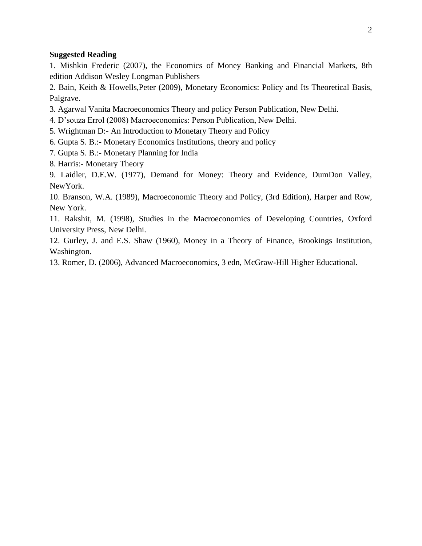#### **Suggested Reading**

1. Mishkin Frederic (2007), the Economics of Money Banking and Financial Markets, 8th edition Addison Wesley Longman Publishers

2. Bain, Keith & Howells,Peter (2009), Monetary Economics: Policy and Its Theoretical Basis, Palgrave.

- 3. Agarwal Vanita Macroeconomics Theory and policy Person Publication, New Delhi.
- 4. D'souza Errol (2008) Macroeconomics: Person Publication, New Delhi.
- 5. Wrightman D:- An Introduction to Monetary Theory and Policy
- 6. Gupta S. B.:- Monetary Economics Institutions, theory and policy
- 7. Gupta S. B.:- Monetary Planning for India
- 8. Harris:- Monetary Theory

9. Laidler, D.E.W. (1977), Demand for Money: Theory and Evidence, DumDon Valley, NewYork.

10. Branson, W.A. (1989), Macroeconomic Theory and Policy, (3rd Edition), Harper and Row, New York.

11. Rakshit, M. (1998), Studies in the Macroeconomics of Developing Countries, Oxford University Press, New Delhi.

12. Gurley, J. and E.S. Shaw (1960), Money in a Theory of Finance, Brookings Institution, Washington.

13. Romer, D. (2006), Advanced Macroeconomics, 3 edn, McGraw-Hill Higher Educational.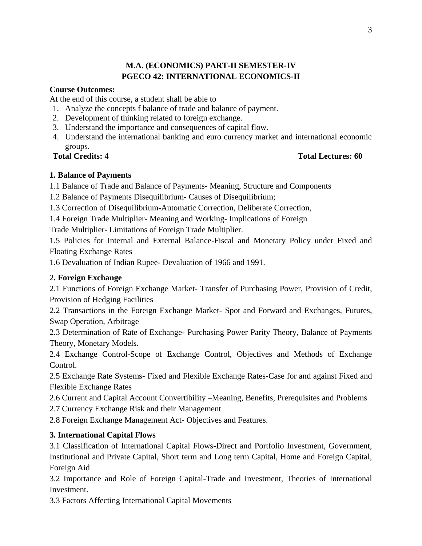# **M.A. (ECONOMICS) PART-II SEMESTER-IV PGECO 42: INTERNATIONAL ECONOMICS-II**

# **Course Outcomes:**

At the end of this course, a student shall be able to

- 1. Analyze the concepts f balance of trade and balance of payment.
- 2. Development of thinking related to foreign exchange.
- 3. Understand the importance and consequences of capital flow.
- 4. Understand the international banking and euro currency market and international economic groups.

# **Total Credits: 4 Total Lectures: 60**

# **1. Balance of Payments**

1.1 Balance of Trade and Balance of Payments- Meaning, Structure and Components

1.2 Balance of Payments Disequilibrium- Causes of Disequilibrium;

1.3 Correction of Disequilibrium-Automatic Correction, Deliberate Correction,

1.4 Foreign Trade Multiplier- Meaning and Working- Implications of Foreign

Trade Multiplier- Limitations of Foreign Trade Multiplier.

1.5 Policies for Internal and External Balance-Fiscal and Monetary Policy under Fixed and Floating Exchange Rates

1.6 Devaluation of Indian Rupee- Devaluation of 1966 and 1991.

# 2**. Foreign Exchange**

2.1 Functions of Foreign Exchange Market- Transfer of Purchasing Power, Provision of Credit, Provision of Hedging Facilities

2.2 Transactions in the Foreign Exchange Market- Spot and Forward and Exchanges, Futures, Swap Operation, Arbitrage

2.3 Determination of Rate of Exchange- Purchasing Power Parity Theory, Balance of Payments Theory, Monetary Models.

2.4 Exchange Control-Scope of Exchange Control, Objectives and Methods of Exchange Control.

2.5 Exchange Rate Systems- Fixed and Flexible Exchange Rates-Case for and against Fixed and Flexible Exchange Rates

2.6 Current and Capital Account Convertibility –Meaning, Benefits, Prerequisites and Problems

2.7 Currency Exchange Risk and their Management

2.8 Foreign Exchange Management Act- Objectives and Features.

# **3. International Capital Flows**

3.1 Classification of International Capital Flows-Direct and Portfolio Investment, Government, Institutional and Private Capital, Short term and Long term Capital, Home and Foreign Capital, Foreign Aid

3.2 Importance and Role of Foreign Capital-Trade and Investment, Theories of International Investment.

3.3 Factors Affecting International Capital Movements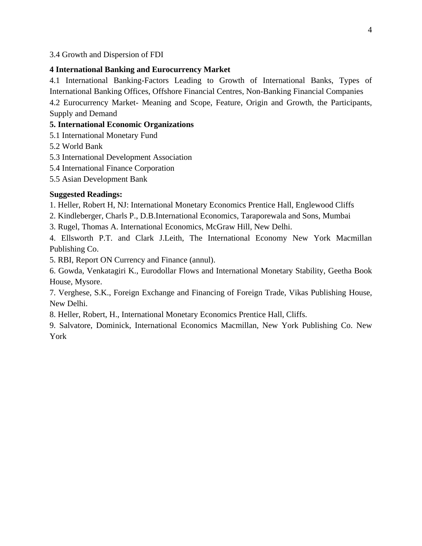3.4 Growth and Dispersion of FDI

### **4 International Banking and Eurocurrency Market**

4.1 International Banking-Factors Leading to Growth of International Banks, Types of International Banking Offices, Offshore Financial Centres, Non-Banking Financial Companies 4.2 Eurocurrency Market- Meaning and Scope, Feature, Origin and Growth, the Participants, Supply and Demand

# **5. International Economic Organizations**

- 5.1 International Monetary Fund
- 5.2 World Bank
- 5.3 International Development Association
- 5.4 International Finance Corporation
- 5.5 Asian Development Bank

# **Suggested Readings:**

- 1. Heller, Robert H, NJ: International Monetary Economics Prentice Hall, Englewood Cliffs
- 2. Kindleberger, Charls P., D.B.International Economics, Taraporewala and Sons, Mumbai
- 3. Rugel, Thomas A. International Economics, McGraw Hill, New Delhi.

4. Ellsworth P.T. and Clark J.Leith, The International Economy New York Macmillan Publishing Co.

5. RBI, Report ON Currency and Finance (annul).

6. Gowda, Venkatagiri K., Eurodollar Flows and International Monetary Stability, Geetha Book House, Mysore.

7. Verghese, S.K., Foreign Exchange and Financing of Foreign Trade, Vikas Publishing House, New Delhi.

8. Heller, Robert, H., International Monetary Economics Prentice Hall, Cliffs.

9. Salvatore, Dominick, International Economics Macmillan, New York Publishing Co. New York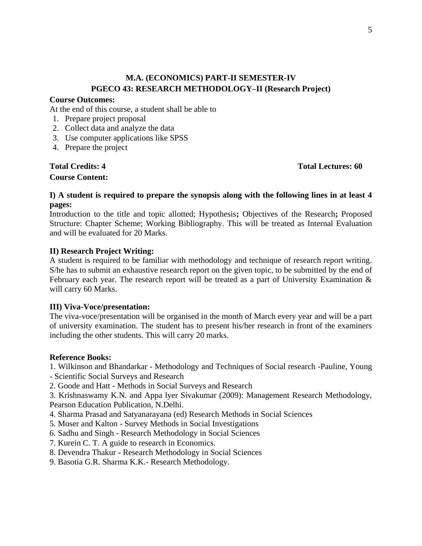# **M.A. (ECONOMICS) PART-II SEMESTER-IV PGECO 43: RESEARCH METHODOLOGY–II (Research Project)**

#### **Course Outcomes:**

At the end of this course, a student shall be able to

- 1. Prepare project proposal
- 2. Collect data and analyze the data
- 3. Use computer applications like SPSS
- 4. Prepare the project

# **Course Content:**

**Total Credits: 4 Total Lectures: 60**

### **I) A student is required to prepare the synopsis along with the following lines in at least 4 pages:**

Introduction to the title and topic allotted; Hypothesis**;** Objectives of the Research**;** Proposed Structure: Chapter Scheme; Working Bibliography. This will be treated as Internal Evaluation and will be evaluated for 20 Marks.

#### **II) Research Project Writing:**

A student is required to be familiar with methodology and technique of research report writing. S/he has to submit an exhaustive research report on the given topic, to be submitted by the end of February each year. The research report will be treated as a part of University Examination & will carry 60 Marks.

#### **III) Viva-Voce/presentation:**

The viva-voce/presentation will be organised in the month of March every year and will be a part of university examination. The student has to present his/her research in front of the examiners including the other students. This will carry 20 marks.

#### **Reference Books:**

1. Wilkinson and Bhandarkar - Methodology and Techniques of Social research -Pauline, Young - Scientific Social Surveys and Research

2. Goode and Hatt - Methods in Social Surveys and Research

3. Krishnaswamy K.N. and Appa lyer Sivakumar (2009): Management Research Methodology, Pearson Education Publication, N.Delhi.

- 4. Sharma Prasad and Satyanarayana (ed) Research Methods in Social Sciences
- 5. Moser and Kalton Survey Methods in Social Investigations
- 6. Sadhu and Singh Research Methodology in Social Sciences
- 7. Kurein C. T. A guide to research in Economics.
- 8. Devendra Thakur Research Methodology in Social Sciences
- 9. Basotia G.R. Sharma K.K.- Research Methodology.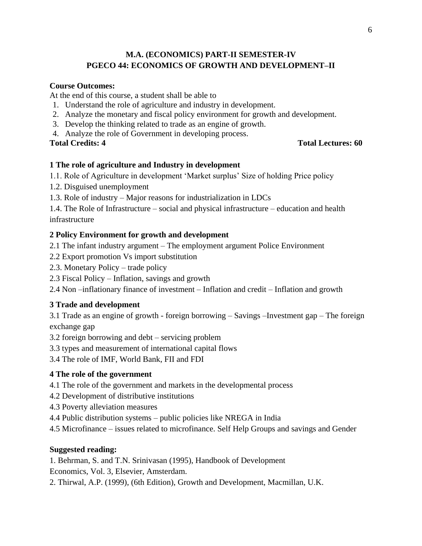# **M.A. (ECONOMICS) PART-II SEMESTER-IV PGECO 44: ECONOMICS OF GROWTH AND DEVELOPMENT–II**

# **Course Outcomes:**

At the end of this course, a student shall be able to

- 1. Understand the role of agriculture and industry in development.
- 2. Analyze the monetary and fiscal policy environment for growth and development.
- 3. Develop the thinking related to trade as an engine of growth.
- 4. Analyze the role of Government in developing process.

**Total Credits: 4 Total Lectures: 60**

# **1 The role of agriculture and Industry in development**

1.1. Role of Agriculture in development 'Market surplus' Size of holding Price policy

- 1.2. Disguised unemployment
- 1.3. Role of industry Major reasons for industrialization in LDCs

1.4. The Role of Infrastructure – social and physical infrastructure – education and health infrastructure

# **2 Policy Environment for growth and development**

2.1 The infant industry argument – The employment argument Police Environment

- 2.2 Export promotion Vs import substitution
- 2.3. Monetary Policy trade policy
- 2.3 Fiscal Policy Inflation, savings and growth

2.4 Non –inflationary finance of investment – Inflation and credit – Inflation and growth

# **3 Trade and development**

3.1 Trade as an engine of growth - foreign borrowing – Savings –Investment gap – The foreign exchange gap

3.2 foreign borrowing and debt – servicing problem

3.3 types and measurement of international capital flows

3.4 The role of IMF, World Bank, FII and FDI

### **4 The role of the government**

- 4.1 The role of the government and markets in the developmental process
- 4.2 Development of distributive institutions
- 4.3 Poverty alleviation measures
- 4.4 Public distribution systems public policies like NREGA in India
- 4.5 Microfinance issues related to microfinance. Self Help Groups and savings and Gender

### **Suggested reading:**

1. Behrman, S. and T.N. Srinivasan (1995), Handbook of Development

Economics, Vol. 3, Elsevier, Amsterdam.

2. Thirwal, A.P. (1999), (6th Edition), Growth and Development, Macmillan, U.K.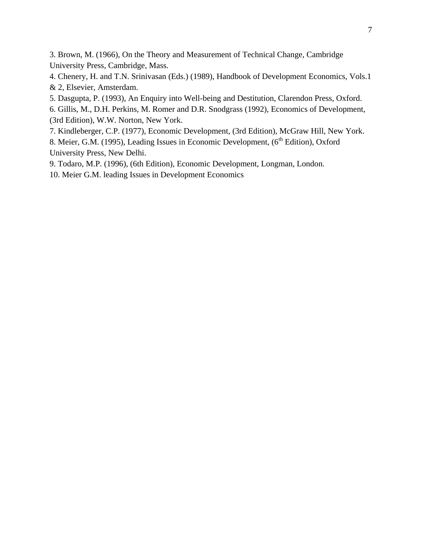3. Brown, M. (1966), On the Theory and Measurement of Technical Change, Cambridge University Press, Cambridge, Mass.

4. Chenery, H. and T.N. Srinivasan (Eds.) (1989), Handbook of Development Economics, Vols.1 & 2, Elsevier, Amsterdam.

5. Dasgupta, P. (1993), An Enquiry into Well-being and Destitution, Clarendon Press, Oxford.

6. Gillis, M., D.H. Perkins, M. Romer and D.R. Snodgrass (1992), Economics of Development, (3rd Edition), W.W. Norton, New York.

7. Kindleberger, C.P. (1977), Economic Development, (3rd Edition), McGraw Hill, New York.

8. Meier, G.M. (1995), Leading Issues in Economic Development, (6<sup>th</sup> Edition), Oxford University Press, New Delhi.

9. Todaro, M.P. (1996), (6th Edition), Economic Development, Longman, London.

10. Meier G.M. leading Issues in Development Economics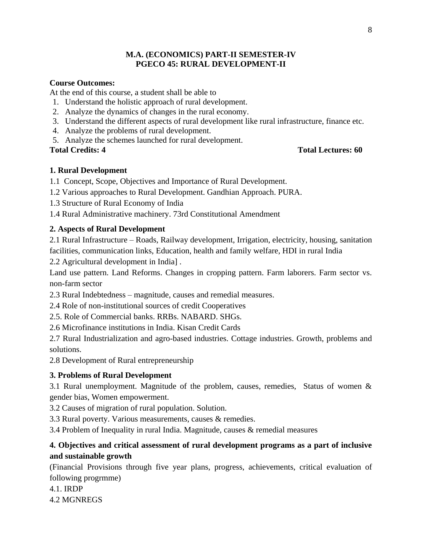# **M.A. (ECONOMICS) PART-II SEMESTER-IV PGECO 45: RURAL DEVELOPMENT-II**

# **Course Outcomes:**

At the end of this course, a student shall be able to

- 1. Understand the holistic approach of rural development.
- 2. Analyze the dynamics of changes in the rural economy.
- 3. Understand the different aspects of rural development like rural infrastructure, finance etc.
- 4. Analyze the problems of rural development.
- 5. Analyze the schemes launched for rural development.

### **Total Credits: 4 Total Lectures: 60**

### **1. Rural Development**

1.1 Concept, Scope, Objectives and Importance of Rural Development.

1.2 Various approaches to Rural Development. Gandhian Approach. PURA.

1.3 Structure of Rural Economy of India

1.4 Rural Administrative machinery. 73rd Constitutional Amendment

# **2. Aspects of Rural Development**

2.1 Rural Infrastructure – Roads, Railway development, Irrigation, electricity, housing, sanitation facilities, communication links, Education, health and family welfare, HDI in rural India

2.2 Agricultural development in India] .

Land use pattern. Land Reforms. Changes in cropping pattern. Farm laborers. Farm sector vs. non-farm sector

2.3 Rural Indebtedness – magnitude, causes and remedial measures.

2.4 Role of non-institutional sources of credit Cooperatives

2.5. Role of Commercial banks. RRBs. NABARD. SHGs.

2.6 Microfinance institutions in India. Kisan Credit Cards

2.7 Rural Industrialization and agro-based industries. Cottage industries. Growth, problems and solutions.

2.8 Development of Rural entrepreneurship

# **3. Problems of Rural Development**

3.1 Rural unemployment. Magnitude of the problem, causes, remedies, Status of women & gender bias, Women empowerment.

3.2 Causes of migration of rural population. Solution.

3.3 Rural poverty. Various measurements, causes & remedies.

3.4 Problem of Inequality in rural India. Magnitude, causes & remedial measures

# **4. Objectives and critical assessment of rural development programs as a part of inclusive and sustainable growth**

(Financial Provisions through five year plans, progress, achievements, critical evaluation of following progrmme)

4.1. IRDP

4.2 MGNREGS